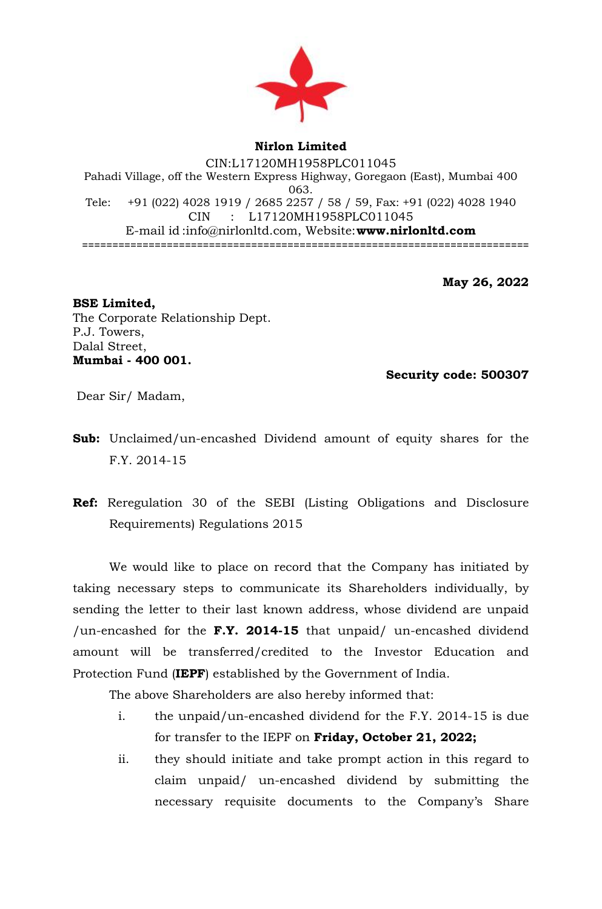

## **Nirlon Limited** CIN:L17120MH1958PLC011045 Pahadi Village, off the Western Express Highway, Goregaon (East), Mumbai 400 063. Tele: +91 (022) 4028 1919 / 2685 2257 / 58 / 59, Fax: +91 (022) 4028 1940 CIN : L17120MH1958PLC011045 E-mail id [:info@nirlonltd.com,](mailto:info@nirlonltd.com) Website:**[www.nirlonltd.com](http://www.nirlonltd.com/)** ==========================================================================

**May 26, 2022**

## **BSE Limited,**  The Corporate Relationship Dept. P.J. Towers, Dalal Street, **Mumbai - 400 001.**

 **Security code: 500307** 

Dear Sir/ Madam,

- **Sub:** Unclaimed/un-encashed Dividend amount of equity shares for the F.Y. 2014-15
- **Ref:** Reregulation 30 of the SEBI (Listing Obligations and Disclosure Requirements) Regulations 2015

We would like to place on record that the Company has initiated by taking necessary steps to communicate its Shareholders individually, by sending the letter to their last known address, whose dividend are unpaid /un-encashed for the **F.Y. 2014-15** that unpaid/ un-encashed dividend amount will be transferred/credited to the Investor Education and Protection Fund (**IEPF**) established by the Government of India.

The above Shareholders are also hereby informed that:

- i. the unpaid/un-encashed dividend for the F.Y. 2014-15 is due for transfer to the IEPF on **Friday, October 21, 2022;**
- ii. they should initiate and take prompt action in this regard to claim unpaid/ un-encashed dividend by submitting the necessary requisite documents to the Company's Share